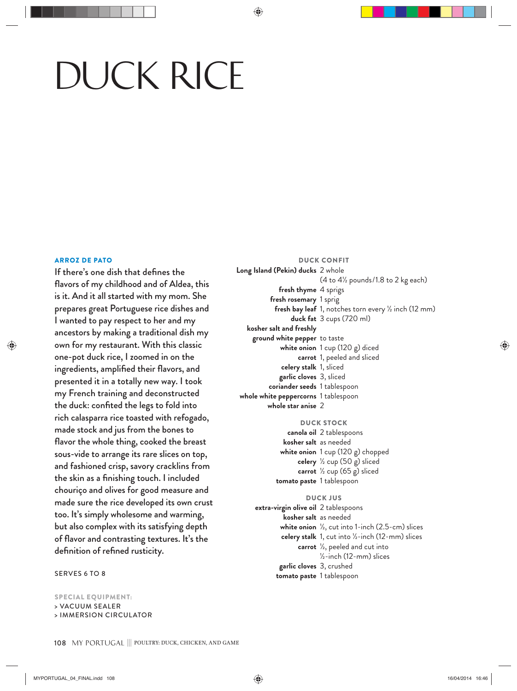# DUCK RICF

### ARROZ DE PATO

If there's one dish that defines the flavors of my childhood and of Aldea, this is it. And it all started with my mom. She prepares great Portuguese rice dishes and I wanted to pay respect to her and my ancestors by making a traditional dish my own for my restaurant. With this classic one-pot duck rice, I zoomed in on the ingredients, amplified their flavors, and presented it in a totally new way. I took my French training and deconstructed the duck: confited the legs to fold into rich calasparra rice toasted with refogado, made stock and jus from the bones to flavor the whole thing, cooked the breast sous-vide to arrange its rare slices on top, and fashioned crisp, savory cracklins from the skin as a finishing touch. I included chouriço and olives for good measure and made sure the rice developed its own crust too. It's simply wholesome and warming, but also complex with its satisfying depth of flavor and contrasting textures. It's the definition of refined rusticity.

## SERVES 6 TO 8

SPECIAL EQUIPMENT: > VACUUM SEALER > IMMERSION CIRCULATOR

DUCK CONFIT **Long Island (Pekin) ducks** 2 whole (4 to 4½ pounds/1.8 to 2 kg each) **fresh thyme** 4 sprigs **fresh rosemary** 1 sprig **fresh bay leaf** 1, notches torn every ½ inch (12 mm) **duck fat** 3 cups (720 ml) **kosher salt and freshly ground white pepper** to taste **white onion** 1 cup (120 g) diced **carrot** 1, peeled and sliced **celery stalk** 1, sliced **garlic cloves** 3, sliced **coriander seeds** 1 tablespoon **whole white peppercorns** 1 tablespoon **whole star anise** 2

### DUCK STOCK

**canola oil** 2 tablespoons **kosher salt** as needed **white onion** 1 cup (120 g) chopped **celery** ½ cup (50 g) sliced **carrot** ½ cup (65 g) sliced **tomato paste** 1 tablespoon

### DUCK JUS

**extra-virgin olive oil** 2 tablespoons **kosher salt** as needed **white onion** ½, cut into 1-inch (2.5-cm) slices **celery stalk** 1, cut into ½-inch (12-mm) slices **carrot** ½, peeled and cut into ½-inch (12-mm) slices **garlic cloves** 3, crushed **tomato paste** 1 tablespoon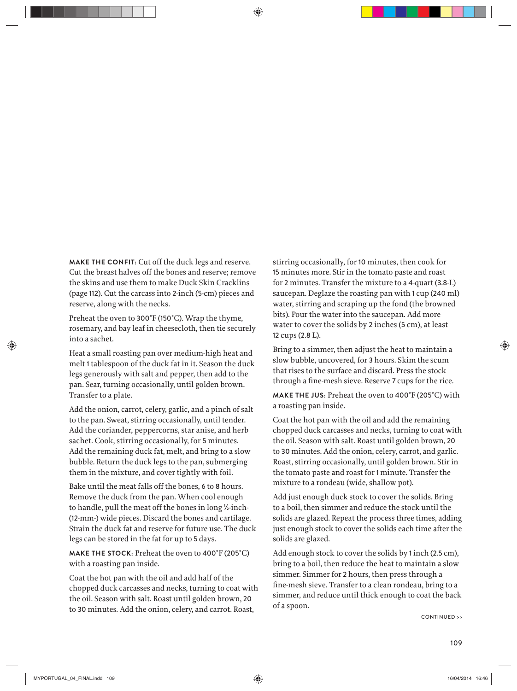**MAKE THE CONFIT:** Cut off the duck legs and reserve. Cut the breast halves off the bones and reserve; remove the skins and use them to make Duck Skin Cracklins (page 112). Cut the carcass into 2-inch (5-cm) pieces and reserve, along with the necks.

Preheat the oven to 300°F (150°C). Wrap the thyme, rosemary, and bay leaf in cheesecloth, then tie securely into a sachet.

Heat a small roasting pan over medium-high heat and melt 1 tablespoon of the duck fat in it. Season the duck legs generously with salt and pepper, then add to the pan. Sear, turning occasionally, until golden brown. Transfer to a plate.

Add the onion, carrot, celery, garlic, and a pinch of salt to the pan. Sweat, stirring occasionally, until tender. Add the coriander, peppercorns, star anise, and herb sachet. Cook, stirring occasionally, for 5 minutes. Add the remaining duck fat, melt, and bring to a slow bubble. Return the duck legs to the pan, submerging them in the mixture, and cover tightly with foil.

Bake until the meat falls off the bones, 6 to 8 hours. Remove the duck from the pan. When cool enough to handle, pull the meat off the bones in long ½-inch- (12-mm-) wide pieces. Discard the bones and cartilage. Strain the duck fat and reserve for future use. The duck legs can be stored in the fat for up to 5 days.

**MAKE THE STOCK:** Preheat the oven to 400°F (205°C) with a roasting pan inside.

Coat the hot pan with the oil and add half of the chopped duck carcasses and necks, turning to coat with the oil. Season with salt. Roast until golden brown, 20 to 30 minutes. Add the onion, celery, and carrot. Roast,

stirring occasionally, for 10 minutes, then cook for 15 minutes more. Stir in the tomato paste and roast for 2 minutes. Transfer the mixture to a 4-quart (3.8-L) saucepan. Deglaze the roasting pan with 1 cup (240 ml) water, stirring and scraping up the fond (the browned bits). Pour the water into the saucepan. Add more water to cover the solids by 2 inches (5 cm), at least 12 cups (2.8 L).

Bring to a simmer, then adjust the heat to maintain a slow bubble, uncovered, for 3 hours. Skim the scum that rises to the surface and discard. Press the stock through a fine-mesh sieve. Reserve 7 cups for the rice.

**MAKE THE JUS:** Preheat the oven to 400°F (205°C) with a roasting pan inside.

Coat the hot pan with the oil and add the remaining chopped duck carcasses and necks, turning to coat with the oil. Season with salt. Roast until golden brown, 20 to 30 minutes. Add the onion, celery, carrot, and garlic. Roast, stirring occasionally, until golden brown. Stir in the tomato paste and roast for 1 minute. Transfer the mixture to a rondeau (wide, shallow pot).

Add just enough duck stock to cover the solids. Bring to a boil, then simmer and reduce the stock until the solids are glazed. Repeat the process three times, adding just enough stock to cover the solids each time after the solids are glazed.

Add enough stock to cover the solids by 1 inch (2.5 cm), bring to a boil, then reduce the heat to maintain a slow simmer. Simmer for 2 hours, then press through a fine-mesh sieve. Transfer to a clean rondeau, bring to a simmer, and reduce until thick enough to coat the back of a spoon.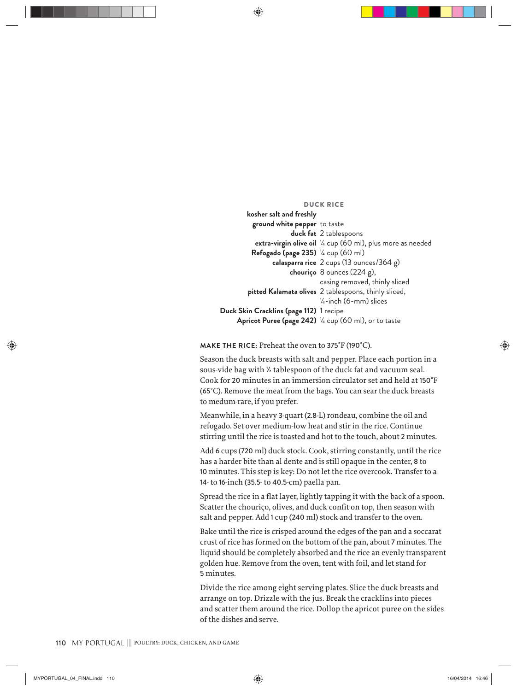DUCK RICE **kosher salt and freshly ground white pepper** to taste **duck fat** 2 tablespoons **extra-virgin olive oil** ¼ cup (60 ml), plus more as needed **Refogado (page 235)** ¼ cup (60 ml) **calasparra rice** 2 cups (13 ounces/364 g) **chouriço** 8 ounces (224 g), casing removed, thinly sliced **pitted Kalamata olives** 2 tablespoons, thinly sliced, ¼-inch (6-mm) slices **Duck Skin Cracklins (page 112)** 1 recipe **Apricot Puree (page 242)** ¼ cup (60 ml), or to taste

**MAKE THE RICE:** Preheat the oven to 375°F (190°C).

Season the duck breasts with salt and pepper. Place each portion in a sous-vide bag with ½ tablespoon of the duck fat and vacuum seal. Cook for 20 minutes in an immersion circulator set and held at 150°F (65°C). Remove the meat from the bags. You can sear the duck breasts to medum-rare, if you prefer.

Meanwhile, in a heavy 3-quart (2.8-L) rondeau, combine the oil and refogado. Set over medium-low heat and stir in the rice. Continue stirring until the rice is toasted and hot to the touch, about 2 minutes.

Add 6 cups (720 ml) duck stock. Cook, stirring constantly, until the rice has a harder bite than al dente and is still opaque in the center, 8 to 10 minutes. This step is key: Do not let the rice overcook. Transfer to a 14- to 16-inch (35.5- to 40.5-cm) paella pan.

Spread the rice in a flat layer, lightly tapping it with the back of a spoon. Scatter the chouriço, olives, and duck confit on top, then season with salt and pepper. Add 1 cup (240 ml) stock and transfer to the oven.

Bake until the rice is crisped around the edges of the pan and a soccarat crust of rice has formed on the bottom of the pan, about 7 minutes. The liquid should be completely absorbed and the rice an evenly transparent golden hue. Remove from the oven, tent with foil, and let stand for 5 minutes.

Divide the rice among eight serving plates. Slice the duck breasts and arrange on top. Drizzle with the jus. Break the cracklins into pieces and scatter them around the rice. Dollop the apricot puree on the sides of the dishes and serve.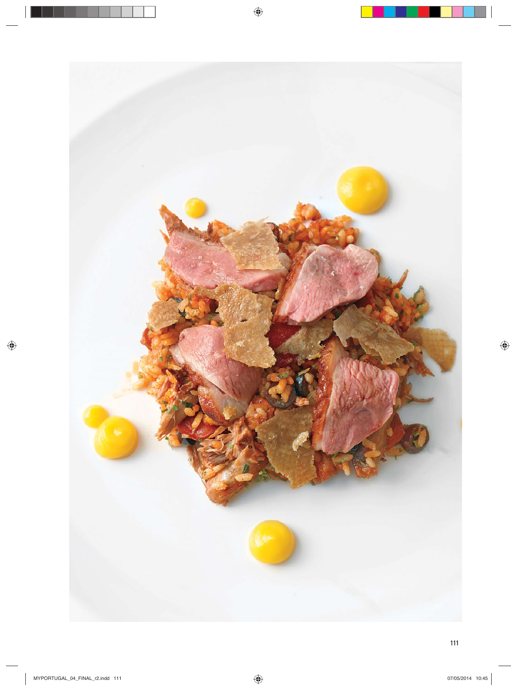